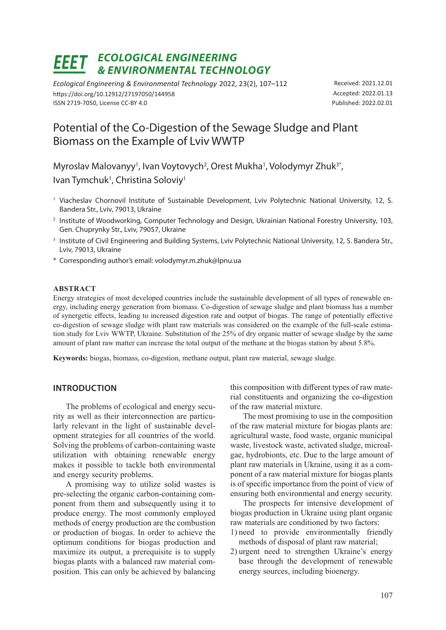# *ECOLOGICAL ENGINEERING & ENVIRONMENTAL TECHNOLOGY*

*Ecological Engineering & Environmental Technology* 2022, 23(2), 107–112 https://doi.org/10.12912/27197050/144958 ISSN 2719-7050, License CC-BY 4.0

Received: 2021.12.01 Accepted: 2022.01.13 Published: 2022.02.01

## Potential of the Co-Digestion of the Sewage Sludge and Plant Biomass on the Example of Lviv WWTP

Myroslav Malovanyy<sup>1</sup>, Ivan Voytovych<sup>2</sup>, Orest Mukha<sup>1</sup>, Volodymyr Zhuk<sup>3\*</sup>, Ivan Tymchuk<sup>1</sup>, Christina Soloviy<sup>1</sup>

- <sup>1</sup> Viacheslav Chornovil Institute of Sustainable Development, Lviv Polytechnic National University, 12, S. Bandera Str., Lviv, 79013, Ukraine
- <sup>2</sup> Institute of Woodworking, Computer Technology and Design, Ukrainian National Forestry University, 103, Gen. Chuprynky Str., Lviv, 79057, Ukraine
- <sup>3</sup> Institute of Civil Engineering and Building Systems, Lviv Polytechnic National University, 12, S. Bandera Str., Lviv, 79013, Ukraine
- \* Corresponding author's email: volodymyr.m.zhuk@lpnu.ua

#### **ABSTRACT**

Energy strategies of most developed countries include the sustainable development of all types of renewable energy, including energy generation from biomass. Co-digestion of sewage sludge and plant biomass has a number of synergetic effects, leading to increased digestion rate and output of biogas. The range of potentially effective co-digestion of sewage sludge with plant raw materials was considered on the example of the full-scale estimation study for Lviv WWTP, Ukraine. Substitution of the 25% of dry organic matter of sewage sludge by the same amount of plant raw matter can increase the total output of the methane at the biogas station by about 5.8%.

**Keywords:** biogas, biomass, co-digestion, methane output, plant raw material, sewage sludge.

#### **INTRODUCTION**

The problems of ecological and energy security as well as their interconnection are particularly relevant in the light of sustainable development strategies for all countries of the world. Solving the problems of carbon-containing waste utilization with obtaining renewable energy makes it possible to tackle both environmental and energy security problems.

A promising way to utilize solid wastes is pre-selecting the organic carbon-containing component from them and subsequently using it to produce energy. The most commonly employed methods of energy production are the combustion or production of biogas. In order to achieve the optimum conditions for biogas production and maximize its output, a prerequisite is to supply biogas plants with a balanced raw material composition. This can only be achieved by balancing

this composition with different types of raw material constituents and organizing the co-digestion of the raw material mixture.

The most promising to use in the composition of the raw material mixture for biogas plants are: agricultural waste, food waste, organic municipal waste, livestock waste, activated sludge, microalgae, hydrobionts, etc. Due to the large amount of plant raw materials in Ukraine, using it as a component of a raw material mixture for biogas plants is of specific importance from the point of view of ensuring both environmental and energy security.

The prospects for intensive development of biogas production in Ukraine using plant organic raw materials are conditioned by two factors:

- 1) need to provide environmentally friendly methods of disposal of plant raw material;
- 2) urgent need to strengthen Ukraine's energy base through the development of renewable energy sources, including bioenergy.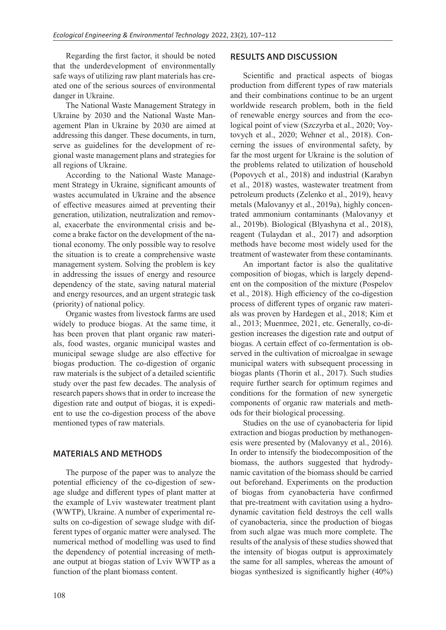Regarding the first factor, it should be noted that the underdevelopment of environmentally safe ways of utilizing raw plant materials has created one of the serious sources of environmental danger in Ukraine.

The National Waste Management Strategy in Ukraine by 2030 and the National Waste Management Plan in Ukraine by 2030 are aimed at addressing this danger. These documents, in turn, serve as guidelines for the development of regional waste management plans and strategies for all regions of Ukraine.

According to the National Waste Management Strategy in Ukraine, significant amounts of wastes accumulated in Ukraine and the absence of effective measures aimed at preventing their generation, utilization, neutralization and removal, exacerbate the environmental crisis and become a brake factor on the development of the national economy. The only possible way to resolve the situation is to create a comprehensive waste management system. Solving the problem is key in addressing the issues of energy and resource dependency of the state, saving natural material and energy resources, and an urgent strategic task (priority) of national policy.

Organic wastes from livestock farms are used widely to produce biogas. At the same time, it has been proven that plant organic raw materials, food wastes, organic municipal wastes and municipal sewage sludge are also effective for biogas production. The co-digestion of organic raw materials is the subject of a detailed scientific study over the past few decades. The analysis of research papers shows that in order to increase the digestion rate and output of biogas, it is expedient to use the co-digestion process of the above mentioned types of raw materials.

## **MATERIALS AND METHODS**

The purpose of the paper was to analyze the potential efficiency of the co-digestion of sewage sludge and different types of plant matter at the example of Lviv wastewater treatment plant (WWTP), Ukraine. A number of experimental results on co-digestion of sewage sludge with different types of organic matter were analysed. The numerical method of modelling was used to find the dependency of potential increasing of methane output at biogas station of Lviv WWTP as a function of the plant biomass content.

## **RESULTS AND DISCUSSION**

Scientific and practical aspects of biogas production from different types of raw materials and their combinations continue to be an urgent worldwide research problem, both in the field of renewable energy sources and from the ecological point of view (Szczyrba et al., 2020; Voytovych et al., 2020; Wehner et al., 2018). Concerning the issues of environmental safety, by far the most urgent for Ukraine is the solution of the problems related to utilization of household (Popovych et al., 2018) and industrial (Karabyn et al., 2018) wastes, wastewater treatment from petroleum products (Zelenko et al., 2019), heavy metals (Malovanyy et al., 2019a), highly concentrated ammonium contaminants (Malovanyy et al., 2019b). Biological (Blyashyna et al., 2018), reagent (Tulaydan et al., 2017) and adsorption methods have become most widely used for the treatment of wastewater from these contaminants.

An important factor is also the qualitative composition of biogas, which is largely dependent on the composition of the mixture (Pospelov et al., 2018). High efficiency of the co-digestion process of different types of organic raw materials was proven by Hardegen et al., 2018; Kim et al., 2013; Muenmee, 2021, etc. Generally, co-digestion increases the digestion rate and output of biogas. A certain effect of co-fermentation is observed in the cultivation of microalgae in sewage municipal waters with subsequent processing in biogas plants (Thorin et al., 2017). Such studies require further search for optimum regimes and conditions for the formation of new synergetic components of organic raw materials and methods for their biological processing.

Studies on the use of cyanobacteria for lipid extraction and biogas production by methanogenesis were presented by (Malovanyy et al., 2016). In order to intensify the biodecomposition of the biomass, the authors suggested that hydrodynamic cavitation of the biomass should be carried out beforehand. Experiments on the production of biogas from cyanobacteria have confirmed that pre-treatment with cavitation using a hydrodynamic cavitation field destroys the cell walls of cyanobacteria, since the production of biogas from such algae was much more complete. The results of the analysis of these studies showed that the intensity of biogas output is approximately the same for all samples, whereas the amount of biogas synthesized is significantly higher (40%)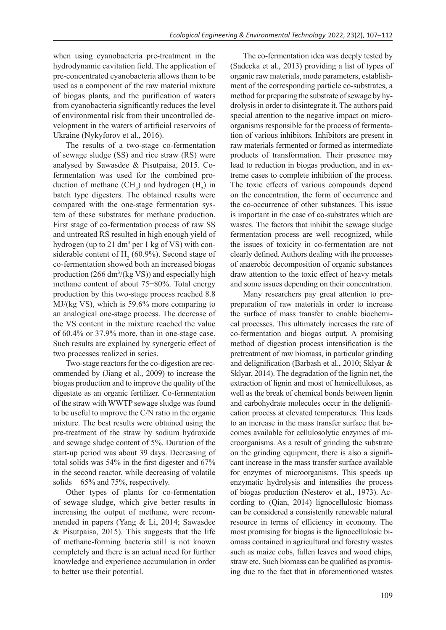when using cyanobacteria pre-treatment in the hydrodynamic cavitation field. The application of pre-concentrated cyanobacteria allows them to be used as a component of the raw material mixture of biogas plants, and the purification of waters from cyanobacteria significantly reduces the level of environmental risk from their uncontrolled development in the waters of artificial reservoirs of Ukraine (Nykyforov et al., 2016).

The results of a two-stage co-fermentation of sewage sludge (SS) and rice straw (RS) were analysed by Sawasdee & Pisutpaisa, 2015. Cofermentation was used for the combined production of methane  $(CH_4)$  and hydrogen  $(H_2)$  in batch type digesters. The obtained results were compared with the one-stage fermentation system of these substrates for methane production. First stage of co-fermentation process of raw SS and untreated RS resulted in high enough yield of hydrogen (up to 21 dm<sup>3</sup> per 1 kg of VS) with considerable content of  $H_2$  (60.9%). Second stage of co-fermentation showed both an increased biogas production  $(266 \text{ dm}^3/(\text{kg VS}))$  and especially high methane content of about 75−80%. Total energy production by this two-stage process reached 8.8 MJ/(kg VS), which is 59.6% more comparing to an analogical one-stage process. The decrease of the VS content in the mixture reached the value of 60.4% or 37.9% more, than in one-stage case. Such results are explained by synergetic effect of two processes realized in series.

Two-stage reactors for the co-digestion are recommended by (Jiang et al., 2009) to increase the biogas production and to improve the quality of the digestate as an organic fertilizer. Co-fermentation of the straw with WWTP sewage sludge was found to be useful to improve the C/N ratio in the organic mixture. The best results were obtained using the pre-treatment of the straw by sodium hydroxide and sewage sludge content of 5%. Duration of the start-up period was about 39 days. Decreasing of total solids was 54% in the first digester and 67% in the second reactor, while decreasing of volatile solids − 65% and 75%, respectively.

Other types of plants for co-fermentation of sewage sludge, which give better results in increasing the output of methane, were recommended in papers (Yang & Li, 2014; Sawasdee & Pisutpaisa, 2015). This suggests that the life of methane-forming bacteria still is not known completely and there is an actual need for further knowledge and experience accumulation in order to better use their potential.

The co-fermentation idea was deeply tested by (Sadecka et al., 2013) providing a list of types of organic raw materials, mode parameters, establishment of the corresponding particle co-substrates, a method for preparing the substrate of sewage by hydrolysis in order to disintegrate it. The authors paid special attention to the negative impact on microorganisms responsible for the process of fermentation of various inhibitors. Inhibitors are present in raw materials fermented or formed as intermediate products of transformation. Their presence may lead to reduction in biogas production, and in extreme cases to complete inhibition of the process. The toxic effects of various compounds depend on the concentration, the form of occurrence and the co-occurrence of other substances. This issue is important in the case of co-substrates which are wastes. The factors that inhibit the sewage sludge fermentation process are well–recognized, while the issues of toxicity in co-fermentation are not clearly defined. Authors dealing with the processes of anaerobic decomposition of organic substances draw attention to the toxic effect of heavy metals and some issues depending on their concentration.

Many researchers pay great attention to prepreparation of raw materials in order to increase the surface of mass transfer to enable biochemical processes. This ultimately increases the rate of co-fermentation and biogas output. A promising method of digestion process intensification is the pretreatment of raw biomass, in particular grinding and delignification (Barbash et al., 2010; Sklyar & Sklyar, 2014). The degradation of the lignin net, the extraction of lignin and most of hemicelluloses, as well as the break of chemical bonds between lignin and carbohydrate molecules occur in the delignification process at elevated temperatures. This leads to an increase in the mass transfer surface that becomes available for cellulosolytic enzymes of microorganisms. As a result of grinding the substrate on the grinding equipment, there is also a significant increase in the mass transfer surface available for enzymes of microorganisms. This speeds up enzymatic hydrolysis and intensifies the process of biogas production (Nesterov et al., 1973). According to (Qian, 2014) lignocellulosic biomass can be considered a consistently renewable natural resource in terms of efficiency in economy. The most promising for biogas is the lignocellulosic biomass contained in agricultural and forestry wastes such as maize cobs, fallen leaves and wood chips, straw etc. Such biomass can be qualified as promising due to the fact that in aforementioned wastes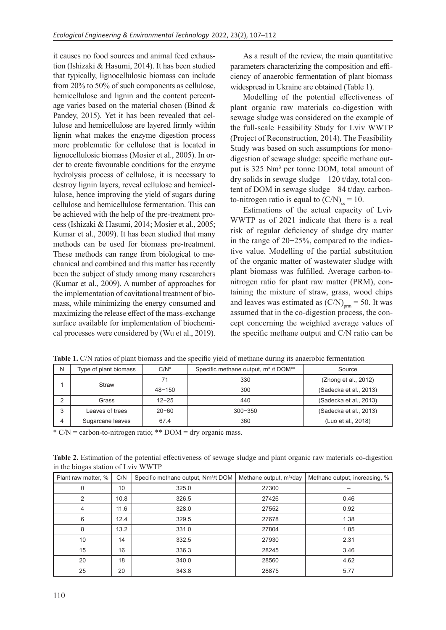it causes no food sources and animal feed exhaustion (Ishizaki & Hasumi, 2014). It has been studied that typically, lignocellulosic biomass can include from 20% to 50% of such components as cellulose, hemicellulose and lignin and the content percentage varies based on the material chosen (Binod & Pandey, 2015). Yet it has been revealed that cellulose and hemicellulose are layered firmly within lignin what makes the enzyme digestion process more problematic for cellulose that is located in lignocellulosic biomass (Mosier et al., 2005). In order to create favourable conditions for the enzyme hydrolysis process of cellulose, it is necessary to destroy lignin layers, reveal cellulose and hemicellulose, hence improving the yield of sugars during cellulose and hemicellulose fermentation. This can be achieved with the help of the pre-treatment process (Ishizaki & Hasumi, 2014; Mosier et al., 2005; Kumar et al., 2009). It has been studied that many methods can be used for biomass pre-treatment. These methods can range from biological to mechanical and combined and this matter has recently been the subject of study among many researchers (Kumar et al., 2009). A number of approaches for the implementation of cavitational treatment of biomass, while minimizing the energy consumed and maximizing the release effect of the mass-exchange surface available for implementation of biochemical processes were considered by (Wu et al., 2019).

As a result of the review, the main quantitative parameters characterizing the composition and efficiency of anaerobic fermentation of plant biomass widespread in Ukraine are obtained (Table 1).

Modelling of the potential effectiveness of plant organic raw materials co-digestion with sewage sludge was considered on the example of the full-scale Feasibility Study for Lviv WWTP (Project of Reconstruction, 2014). The Feasibility Study was based on such assumptions for monodigestion of sewage sludge: specific methane output is 325 Nm<sup>3</sup> per tonne DOM, total amount of dry solids in sewage sludge – 120 t/day, total content of DOM in sewage sludge – 84 t/day, carbonto-nitrogen ratio is equal to  $(C/N)_{ss} = 10$ .

Estimations of the actual capacity of Lviv WWTP as of 2021 indicate that there is a real risk of regular deficiency of sludge dry matter in the range of 20−25%, compared to the indicative value. Modelling of the partial substitution of the organic matter of wastewater sludge with plant biomass was fulfilled. Average carbon-tonitrogen ratio for plant raw matter (PRM), containing the mixture of straw, grass, wood chips and leaves was estimated as  $(C/N)_{\text{pm}} = 50$ . It was assumed that in the co-digestion process, the concept concerning the weighted average values of the specific methane output and C/N ratio can be

| Ν | Type of plant biomass | $C/N^*$    | Specific methane output, m <sup>3</sup> /t DOM** | Source                 |
|---|-----------------------|------------|--------------------------------------------------|------------------------|
|   | Straw                 | 71         | 330                                              | (Zhong et al., 2012)   |
|   |                       | $48 - 150$ | 300                                              | (Sadecka et al., 2013) |
| ົ | Grass                 | $12 - 25$  | 440                                              | (Sadecka et al., 2013) |
| 3 | Leaves of trees       | $20 - 60$  | $300 - 350$                                      | (Sadecka et al., 2013) |
|   | Sugarcane leaves      | 67.4       | 360                                              | (Luo et al., 2018)     |

**Table 1.** C/N ratios of plant biomass and the specific yield of methane during its anaerobic fermentation

\*  $C/N$  = carbon-to-nitrogen ratio; \*\*  $DOM = dry$  organic mass.

**Table 2.** Estimation of the potential effectiveness of sewage sludge and plant organic raw materials co-digestion in the biogas station of Lviv WWTP

| Plant raw matter, % | C/N  | Specific methane output, Nm <sup>3</sup> /t DOM | Methane output, m <sup>3</sup> /day | Methane output, increasing, % |
|---------------------|------|-------------------------------------------------|-------------------------------------|-------------------------------|
| $\mathbf 0$         | 10   | 325.0                                           | 27300                               |                               |
| 2                   | 10.8 | 326.5                                           | 27426                               | 0.46                          |
| 4                   | 11.6 | 328.0                                           | 27552                               | 0.92                          |
| 6                   | 12.4 | 329.5                                           | 27678                               | 1.38                          |
| 8                   | 13.2 | 331.0                                           | 27804                               | 1.85                          |
| 10                  | 14   | 332.5                                           | 27930                               | 2.31                          |
| 15                  | 16   | 336.3                                           | 28245                               | 3.46                          |
| 20                  | 18   | 340.0                                           | 28560                               | 4.62                          |
| 25                  | 20   | 343.8                                           | 28875                               | 5.77                          |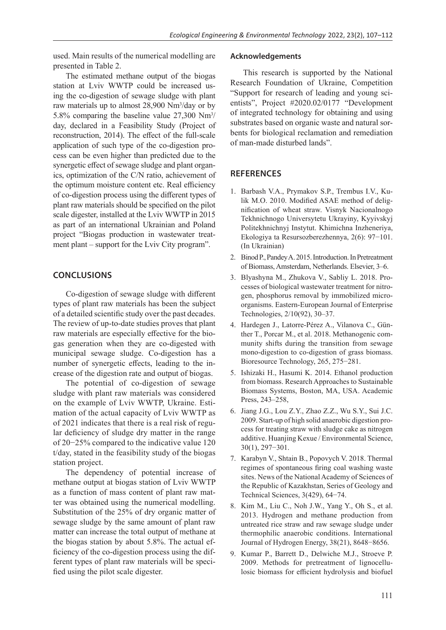used. Main results of the numerical modelling are presented in Table 2.

The estimated methane output of the biogas station at Lviv WWTP could be increased using the co-digestion of sewage sludge with plant raw materials up to almost 28,900 Nm<sup>3</sup>/day or by 5.8% comparing the baseline value 27,300 Nm3 / day, declared in a Feasibility Study (Project of reconstruction, 2014). The effect of the full-scale application of such type of the co-digestion process can be even higher than predicted due to the synergetic effect of sewage sludge and plant organics, optimization of the C/N ratio, achievement of the optimum moisture content etc. Real efficiency of co-digestion process using the different types of plant raw materials should be specified on the pilot scale digester, installed at the Lviv WWTP in 2015 as part of an international Ukrainian and Poland project "Biogas production in wastewater treatment plant – support for the Lviv City program".

## **CONCLUSIONS**

Co-digestion of sewage sludge with different types of plant raw materials has been the subject of a detailed scientific study over the past decades. The review of up-to-date studies proves that plant raw materials are especially effective for the biogas generation when they are co-digested with municipal sewage sludge. Co-digestion has a number of synergetic effects, leading to the increase of the digestion rate and output of biogas.

The potential of co-digestion of sewage sludge with plant raw materials was considered on the example of Lviv WWTP, Ukraine. Estimation of the actual capacity of Lviv WWTP as of 2021 indicates that there is a real risk of regular deficiency of sludge dry matter in the range of 20−25% compared to the indicative value 120 t/day, stated in the feasibility study of the biogas station project.

The dependency of potential increase of methane output at biogas station of Lviv WWTP as a function of mass content of plant raw matter was obtained using the numerical modelling. Substitution of the 25% of dry organic matter of sewage sludge by the same amount of plant raw matter can increase the total output of methane at the biogas station by about 5.8%. The actual efficiency of the co-digestion process using the different types of plant raw materials will be specified using the pilot scale digester.

#### **Acknowledgements**

This research is supported by the National Research Foundation of Ukraine, Competition "Support for research of leading and young scientists", Project #2020.02/0177 "Development of integrated technology for obtaining and using substrates based on organic waste and natural sorbents for biological reclamation and remediation of man-made disturbed lands".

### **REFERENCES**

- 1. Barbash V.A., Prymakov S.P., Trembus I.V., Kulik M.O. 2010. Modified ASAE method of delignification of wheat straw. Visnyk Nacionalnogo Tekhnichnogo Universytetu Ukrayiny, Kyyivskyj Politekhnichnyj Instytut. Khimichna Inzheneriya, Ekologiya ta Resursozberezhennya, 2(6): 97−101. (In Ukrainian)
- 2. Binod P., Pandey A. 2015. Introduction. In Pretreatment of Biomass, Amsterdam, Netherlands. Elsevier, 3–6.
- 3. Blyashyna M., Zhukova V., Sabliy L. 2018. Processes of biological wastewater treatment for nitrogen, phosphorus removal by immobilized microorganisms. Eastern-European Journal of Enterprise Technologies, 2/10(92), 30–37.
- 4. Hardegen J., Latorre-Pérez A., Vilanova C., Günther T., Porcar M., et al. 2018. Methanogenic community shifts during the transition from sewage mono-digestion to co-digestion of grass biomass. Bioresource Technology, 265, 275−281.
- 5. Ishizaki H., Hasumi K. 2014. Ethanol production from biomass. Research Approaches to Sustainable Biomass Systems, Boston, MA, USA. Academic Press, 243–258,
- 6. Jiang J.G., Lou Z.Y., Zhao Z.Z., Wu S.Y., Sui J.C. 2009. Start-up of high solid anaerobic digestion process for treating straw with sludge cake as nitrogen additive. Huanjing Kexue / Environmental Science, 30(1), 297−301.
- 7. Karabyn V., Shtain B., Popovych V. 2018. Thermal regimes of spontaneous firing coal washing waste sites. News of the National Academy of Sciences of the Republic of Kazakhstan, Series of Geology and Technical Sciences, 3(429), 64−74.
- 8. Kim M., Liu C., Noh J.W., Yang Y., Oh S., et al. 2013. Hydrogen and methane production from untreated rice straw and raw sewage sludge under thermophilic anaerobic conditions. International Journal of Hydrogen Energy, 38(21), 8648−8656.
- 9. Kumar P., Barrett D., Delwiche M.J., Stroeve P. 2009. Methods for pretreatment of lignocellulosic biomass for efficient hydrolysis and biofuel